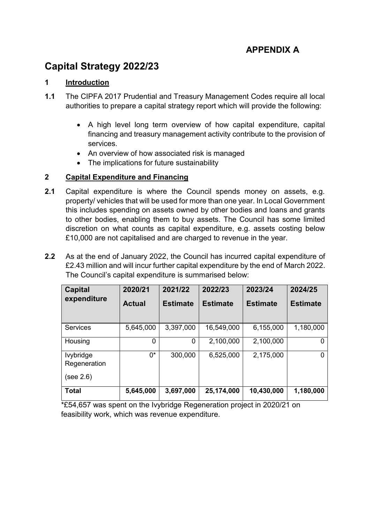# **APPENDIX A**

# **Capital Strategy 2022/23**

# **1 Introduction**

- **1.1** The CIPFA 2017 Prudential and Treasury Management Codes require all local authorities to prepare a capital strategy report which will provide the following:
	- A high level long term overview of how capital expenditure, capital financing and treasury management activity contribute to the provision of services.
	- An overview of how associated risk is managed
	- The implications for future sustainability

# **2 Capital Expenditure and Financing**

- **2.1** Capital expenditure is where the Council spends money on assets, e.g. property/ vehicles that will be used for more than one year. In Local Government this includes spending on assets owned by other bodies and loans and grants to other bodies, enabling them to buy assets. The Council has some limited discretion on what counts as capital expenditure, e.g. assets costing below £10,000 are not capitalised and are charged to revenue in the year.
- **2.2** As at the end of January 2022, the Council has incurred capital expenditure of £2.43 million and will incur further capital expenditure by the end of March 2022. The Council's capital expenditure is summarised below:

| <b>Capital</b><br>expenditure | 2020/21       | 2021/22         | 2022/23         | 2023/24         | 2024/25         |
|-------------------------------|---------------|-----------------|-----------------|-----------------|-----------------|
|                               | <b>Actual</b> | <b>Estimate</b> | <b>Estimate</b> | <b>Estimate</b> | <b>Estimate</b> |
|                               |               |                 |                 |                 |                 |
| <b>Services</b>               | 5,645,000     | 3,397,000       | 16,549,000      | 6,155,000       | 1,180,000       |
| Housing                       | 0             | 0               | 2,100,000       | 2,100,000       |                 |
| lvybridge<br>Regeneration     | 0*            | 300,000         | 6,525,000       | 2,175,000       | 0               |
| (see 2.6)                     |               |                 |                 |                 |                 |
| <b>Total</b>                  | 5,645,000     | 3,697,000       | 25,174,000      | 10,430,000      | 1,180,000       |

\*£54,657 was spent on the Ivybridge Regeneration project in 2020/21 on feasibility work, which was revenue expenditure.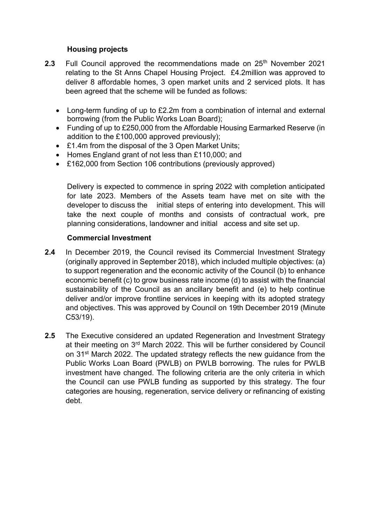## **Housing projects**

- **2.3** Full Council approved the recommendations made on 25<sup>th</sup> November 2021 relating to the St Anns Chapel Housing Project. £4.2million was approved to deliver 8 affordable homes, 3 open market units and 2 serviced plots. It has been agreed that the scheme will be funded as follows:
	- Long-term funding of up to £2.2m from a combination of internal and external borrowing (from the Public Works Loan Board);
	- Funding of up to £250,000 from the Affordable Housing Earmarked Reserve (in addition to the £100,000 approved previously);
	- £1.4m from the disposal of the 3 Open Market Units;
	- Homes England grant of not less than £110,000; and
	- £162,000 from Section 106 contributions (previously approved)

Delivery is expected to commence in spring 2022 with completion anticipated for late 2023. Members of the Assets team have met on site with the developer to discuss the initial steps of entering into development. This will take the next couple of months and consists of contractual work, pre planning considerations, landowner and initial access and site set up.

#### **Commercial Investment**

- **2.4** In December 2019, the Council revised its Commercial Investment Strategy (originally approved in September 2018), which included multiple objectives: (a) to support regeneration and the economic activity of the Council (b) to enhance economic benefit (c) to grow business rate income (d) to assist with the financial sustainability of the Council as an ancillary benefit and (e) to help continue deliver and/or improve frontline services in keeping with its adopted strategy and objectives. This was approved by Council on 19th December 2019 (Minute C53/19).
- **2.5** The Executive considered an updated Regeneration and Investment Strategy at their meeting on 3rd March 2022. This will be further considered by Council on 31st March 2022. The updated strategy reflects the new guidance from the Public Works Loan Board (PWLB) on PWLB borrowing. The rules for PWLB investment have changed. The following criteria are the only criteria in which the Council can use PWLB funding as supported by this strategy. The four categories are housing, regeneration, service delivery or refinancing of existing debt.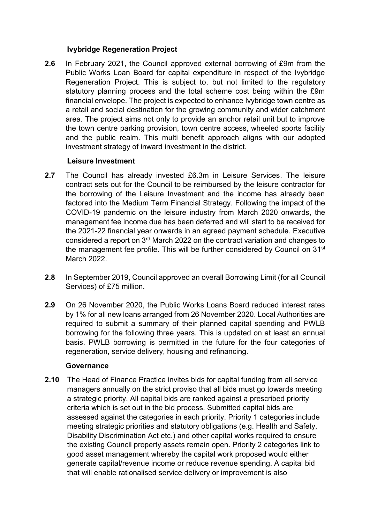## **Ivybridge Regeneration Project**

**2.6** In February 2021, the Council approved external borrowing of £9m from the Public Works Loan Board for capital expenditure in respect of the Ivybridge Regeneration Project. This is subject to, but not limited to the regulatory statutory planning process and the total scheme cost being within the £9m financial envelope. The project is expected to enhance Ivybridge town centre as a retail and social destination for the growing community and wider catchment area. The project aims not only to provide an anchor retail unit but to improve the town centre parking provision, town centre access, wheeled sports facility and the public realm. This multi benefit approach aligns with our adopted investment strategy of inward investment in the district.

## **Leisure Investment**

- **2.7** The Council has already invested £6.3m in Leisure Services. The leisure contract sets out for the Council to be reimbursed by the leisure contractor for the borrowing of the Leisure Investment and the income has already been factored into the Medium Term Financial Strategy. Following the impact of the COVID-19 pandemic on the leisure industry from March 2020 onwards, the management fee income due has been deferred and will start to be received for the 2021-22 financial year onwards in an agreed payment schedule. Executive considered a report on 3rd March 2022 on the contract variation and changes to the management fee profile. This will be further considered by Council on 31<sup>st</sup> March 2022.
- **2.8** In September 2019, Council approved an overall Borrowing Limit (for all Council Services) of £75 million.
- **2.9** On 26 November 2020, the Public Works Loans Board reduced interest rates by 1% for all new loans arranged from 26 November 2020. Local Authorities are required to submit a summary of their planned capital spending and PWLB borrowing for the following three years. This is updated on at least an annual basis. PWLB borrowing is permitted in the future for the four categories of regeneration, service delivery, housing and refinancing.

#### **Governance**

**2.10** The Head of Finance Practice invites bids for capital funding from all service managers annually on the strict proviso that all bids must go towards meeting a strategic priority. All capital bids are ranked against a prescribed priority criteria which is set out in the bid process. Submitted capital bids are assessed against the categories in each priority. Priority 1 categories include meeting strategic priorities and statutory obligations (e.g. Health and Safety, Disability Discrimination Act etc.) and other capital works required to ensure the existing Council property assets remain open. Priority 2 categories link to good asset management whereby the capital work proposed would either generate capital/revenue income or reduce revenue spending. A capital bid that will enable rationalised service delivery or improvement is also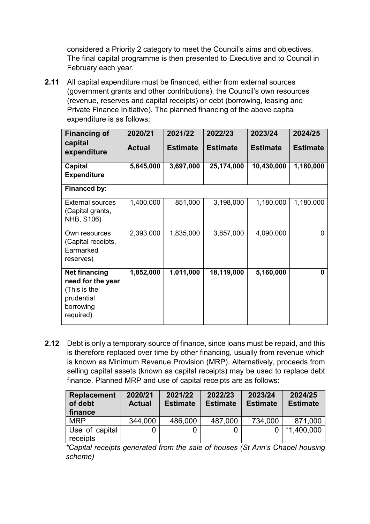considered a Priority 2 category to meet the Council's aims and objectives. The final capital programme is then presented to Executive and to Council in February each year.

**2.11** All capital expenditure must be financed, either from external sources (government grants and other contributions), the Council's own resources (revenue, reserves and capital receipts) or debt (borrowing, leasing and Private Finance Initiative). The planned financing of the above capital expenditure is as follows:

| <b>Financing of</b>                                                                               | 2020/21       | 2021/22         | 2022/23         | 2023/24         | 2024/25         |
|---------------------------------------------------------------------------------------------------|---------------|-----------------|-----------------|-----------------|-----------------|
| capital<br>expenditure                                                                            | <b>Actual</b> | <b>Estimate</b> | <b>Estimate</b> | <b>Estimate</b> | <b>Estimate</b> |
| Capital<br><b>Expenditure</b>                                                                     | 5,645,000     | 3,697,000       | 25,174,000      | 10,430,000      | 1,180,000       |
| Financed by:                                                                                      |               |                 |                 |                 |                 |
| <b>External sources</b><br>(Capital grants,<br><b>NHB, S106)</b>                                  | 1,400,000     | 851,000         | 3,198,000       | 1,180,000       | 1,180,000       |
| Own resources<br>(Capital receipts,<br>Earmarked<br>reserves)                                     | 2,393,000     | 1,835,000       | 3,857,000       | 4,090,000       | 0               |
| <b>Net financing</b><br>need for the year<br>(This is the<br>prudential<br>borrowing<br>required) | 1,852,000     | 1,011,000       | 18,119,000      | 5,160,000       | 0               |

**2.12** Debt is only a temporary source of finance, since loans must be repaid, and this is therefore replaced over time by other financing, usually from revenue which is known as Minimum Revenue Provision (MRP). Alternatively, proceeds from selling capital assets (known as capital receipts) may be used to replace debt finance. Planned MRP and use of capital receipts are as follows:

| <b>Replacement</b><br>of debt<br>finance | 2020/21<br><b>Actual</b> | 2021/22<br><b>Estimate</b> | 2022/23<br><b>Estimate</b> | 2023/24<br><b>Estimate</b> | 2024/25<br><b>Estimate</b> |
|------------------------------------------|--------------------------|----------------------------|----------------------------|----------------------------|----------------------------|
| <b>MRP</b>                               | 344,000                  | 486,000                    | 487,000                    | 734,000                    | 871,000                    |
| Use of capital<br>receipts               |                          |                            |                            |                            | *1,400,000                 |

*\*Capital receipts generated from the sale of houses (St Ann's Chapel housing scheme)*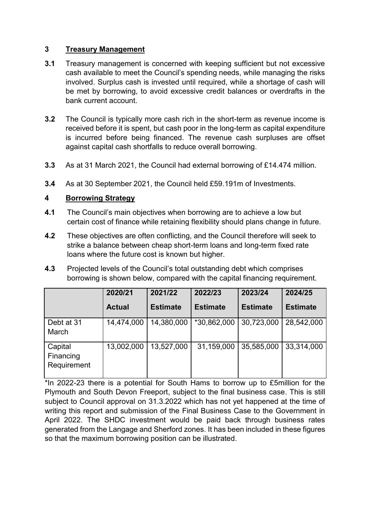# **3 Treasury Management**

- **3.1** Treasury management is concerned with keeping sufficient but not excessive cash available to meet the Council's spending needs, while managing the risks involved. Surplus cash is invested until required, while a shortage of cash will be met by borrowing, to avoid excessive credit balances or overdrafts in the bank current account.
- **3.2** The Council is typically more cash rich in the short-term as revenue income is received before it is spent, but cash poor in the long-term as capital expenditure is incurred before being financed. The revenue cash surpluses are offset against capital cash shortfalls to reduce overall borrowing.
- **3.3** As at 31 March 2021, the Council had external borrowing of £14.474 million.
- **3.4** As at 30 September 2021, the Council held £59.191m of Investments.

## **4 Borrowing Strategy**

- **4.1** The Council's main objectives when borrowing are to achieve a low but certain cost of finance while retaining flexibility should plans change in future.
- **4.2** These objectives are often conflicting, and the Council therefore will seek to strike a balance between cheap short-term loans and long-term fixed rate loans where the future cost is known but higher.
- **4.3** Projected levels of the Council's total outstanding debt which comprises borrowing is shown below, compared with the capital financing requirement.

|                                     | 2020/21       | 2021/22         | 2022/23         | 2023/24         | 2024/25         |
|-------------------------------------|---------------|-----------------|-----------------|-----------------|-----------------|
|                                     | <b>Actual</b> | <b>Estimate</b> | <b>Estimate</b> | <b>Estimate</b> | <b>Estimate</b> |
| Debt at 31<br>March                 | 14,474,000    | 14,380,000      | *30,862,000     | 30,723,000      | 28,542,000      |
| Capital<br>Financing<br>Requirement | 13,002,000    | 13,527,000      | 31,159,000      | 35,585,000      | 33,314,000      |

\*In 2022-23 there is a potential for South Hams to borrow up to £5million for the Plymouth and South Devon Freeport, subject to the final business case. This is still subject to Council approval on 31.3.2022 which has not yet happened at the time of writing this report and submission of the Final Business Case to the Government in April 2022. The SHDC investment would be paid back through business rates generated from the Langage and Sherford zones. It has been included in these figures so that the maximum borrowing position can be illustrated.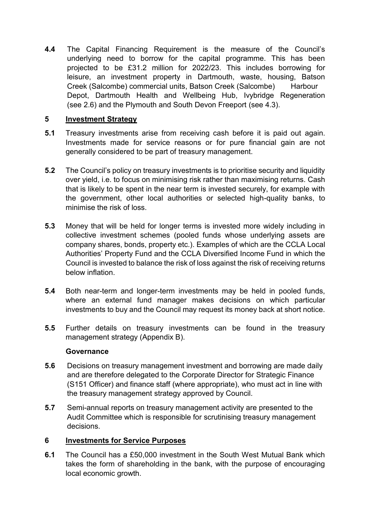**4.4** The Capital Financing Requirement is the measure of the Council's underlying need to borrow for the capital programme. This has been projected to be £31.2 million for 2022/23. This includes borrowing for leisure, an investment property in Dartmouth, waste, housing, Batson Creek (Salcombe) commercial units, Batson Creek (Salcombe) Harbour Depot, Dartmouth Health and Wellbeing Hub, Ivybridge Regeneration (see 2.6) and the Plymouth and South Devon Freeport (see 4.3).

# **5 Investment Strategy**

- **5.1** Treasury investments arise from receiving cash before it is paid out again. Investments made for service reasons or for pure financial gain are not generally considered to be part of treasury management.
- **5.2** The Council's policy on treasury investments is to prioritise security and liquidity over yield, i.e. to focus on minimising risk rather than maximising returns. Cash that is likely to be spent in the near term is invested securely, for example with the government, other local authorities or selected high-quality banks, to minimise the risk of loss.
- **5.3** Money that will be held for longer terms is invested more widely including in collective investment schemes (pooled funds whose underlying assets are company shares, bonds, property etc.). Examples of which are the CCLA Local Authorities' Property Fund and the CCLA Diversified Income Fund in which the Council is invested to balance the risk of loss against the risk of receiving returns below inflation.
- **5.4** Both near-term and longer-term investments may be held in pooled funds, where an external fund manager makes decisions on which particular investments to buy and the Council may request its money back at short notice.
- **5.5** Further details on treasury investments can be found in the treasury management strategy (Appendix B).

#### **Governance**

- **5.6** Decisions on treasury management investment and borrowing are made daily and are therefore delegated to the Corporate Director for Strategic Finance (S151 Officer) and finance staff (where appropriate), who must act in line with the treasury management strategy approved by Council.
- **5.7** Semi-annual reports on treasury management activity are presented to the Audit Committee which is responsible for scrutinising treasury management decisions.

# **6 Investments for Service Purposes**

**6.1** The Council has a £50,000 investment in the South West Mutual Bank which takes the form of shareholding in the bank, with the purpose of encouraging local economic growth.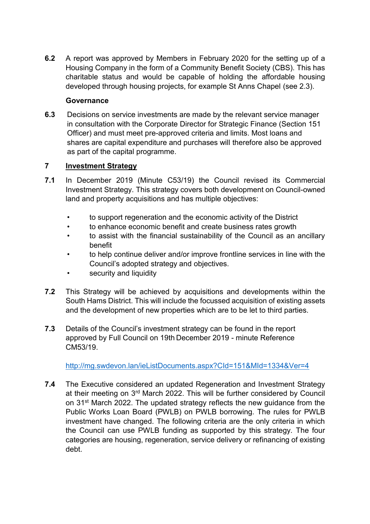**6.2** A report was approved by Members in February 2020 for the setting up of a Housing Company in the form of a Community Benefit Society (CBS). This has charitable status and would be capable of holding the affordable housing developed through housing projects, for example St Anns Chapel (see 2.3).

# **Governance**

**6.3** Decisions on service investments are made by the relevant service manager in consultation with the Corporate Director for Strategic Finance (Section 151 Officer) and must meet pre-approved criteria and limits. Most loans and shares are capital expenditure and purchases will therefore also be approved as part of the capital programme.

# **7 Investment Strategy**

- **7.1** In December 2019 (Minute C53/19) the Council revised its Commercial Investment Strategy. This strategy covers both development on Council-owned land and property acquisitions and has multiple objectives:
	- to support regeneration and the economic activity of the District
	- to enhance economic benefit and create business rates growth
	- to assist with the financial sustainability of the Council as an ancillary benefit
	- to help continue deliver and/or improve frontline services in line with the Council's adopted strategy and objectives.
	- security and liquidity
- **7.2** This Strategy will be achieved by acquisitions and developments within the South Hams District. This will include the focussed acquisition of existing assets and the development of new properties which are to be let to third parties.
- **7.3** Details of the Council's investment strategy can be found in the report approved by Full Council on 19th December 2019 - minute Reference CM53/19.

<http://mg.swdevon.lan/ieListDocuments.aspx?CId=151&MId=1334&Ver=4>

**7.4** The Executive considered an updated Regeneration and Investment Strategy at their meeting on 3rd March 2022. This will be further considered by Council on 31st March 2022. The updated strategy reflects the new guidance from the Public Works Loan Board (PWLB) on PWLB borrowing. The rules for PWLB investment have changed. The following criteria are the only criteria in which the Council can use PWLB funding as supported by this strategy. The four categories are housing, regeneration, service delivery or refinancing of existing debt.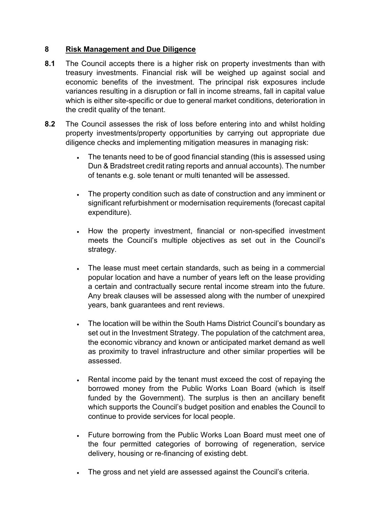# **8 Risk Management and Due Diligence**

- **8.1** The Council accepts there is a higher risk on property investments than with treasury investments. Financial risk will be weighed up against social and economic benefits of the investment. The principal risk exposures include variances resulting in a disruption or fall in income streams, fall in capital value which is either site-specific or due to general market conditions, deterioration in the credit quality of the tenant.
- **8.2** The Council assesses the risk of loss before entering into and whilst holding property investments/property opportunities by carrying out appropriate due diligence checks and implementing mitigation measures in managing risk:
	- The tenants need to be of good financial standing (this is assessed using Dun & Bradstreet credit rating reports and annual accounts). The number of tenants e.g. sole tenant or multi tenanted will be assessed.
	- The property condition such as date of construction and any imminent or significant refurbishment or modernisation requirements (forecast capital expenditure).
	- How the property investment, financial or non-specified investment meets the Council's multiple objectives as set out in the Council's strategy.
	- The lease must meet certain standards, such as being in a commercial popular location and have a number of years left on the lease providing a certain and contractually secure rental income stream into the future. Any break clauses will be assessed along with the number of unexpired years, bank guarantees and rent reviews.
	- The location will be within the South Hams District Council's boundary as set out in the Investment Strategy. The population of the catchment area, the economic vibrancy and known or anticipated market demand as well as proximity to travel infrastructure and other similar properties will be assessed.
	- Rental income paid by the tenant must exceed the cost of repaying the borrowed money from the Public Works Loan Board (which is itself funded by the Government). The surplus is then an ancillary benefit which supports the Council's budget position and enables the Council to continue to provide services for local people.
	- Future borrowing from the Public Works Loan Board must meet one of the four permitted categories of borrowing of regeneration, service delivery, housing or re-financing of existing debt.
	- The gross and net yield are assessed against the Council's criteria.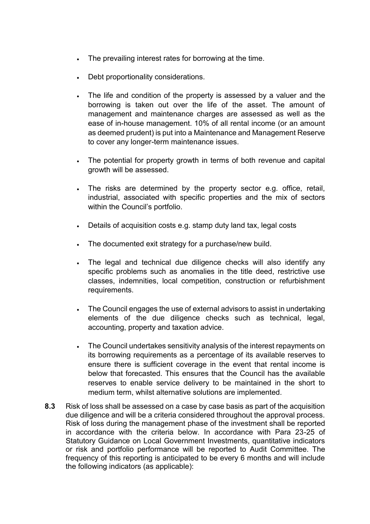- The prevailing interest rates for borrowing at the time.
- Debt proportionality considerations.
- The life and condition of the property is assessed by a valuer and the borrowing is taken out over the life of the asset. The amount of management and maintenance charges are assessed as well as the ease of in-house management. 10% of all rental income (or an amount as deemed prudent) is put into a Maintenance and Management Reserve to cover any longer-term maintenance issues.
- The potential for property growth in terms of both revenue and capital growth will be assessed.
- The risks are determined by the property sector e.g. office, retail, industrial, associated with specific properties and the mix of sectors within the Council's portfolio.
- Details of acquisition costs e.g. stamp duty land tax, legal costs
- The documented exit strategy for a purchase/new build.
- The legal and technical due diligence checks will also identify any specific problems such as anomalies in the title deed, restrictive use classes, indemnities, local competition, construction or refurbishment requirements.
- The Council engages the use of external advisors to assist in undertaking elements of the due diligence checks such as technical, legal, accounting, property and taxation advice.
- The Council undertakes sensitivity analysis of the interest repayments on its borrowing requirements as a percentage of its available reserves to ensure there is sufficient coverage in the event that rental income is below that forecasted. This ensures that the Council has the available reserves to enable service delivery to be maintained in the short to medium term, whilst alternative solutions are implemented.
- **8.3** Risk of loss shall be assessed on a case by case basis as part of the acquisition due diligence and will be a criteria considered throughout the approval process. Risk of loss during the management phase of the investment shall be reported in accordance with the criteria below. In accordance with Para 23-25 of Statutory Guidance on Local Government Investments, quantitative indicators or risk and portfolio performance will be reported to Audit Committee. The frequency of this reporting is anticipated to be every 6 months and will include the following indicators (as applicable):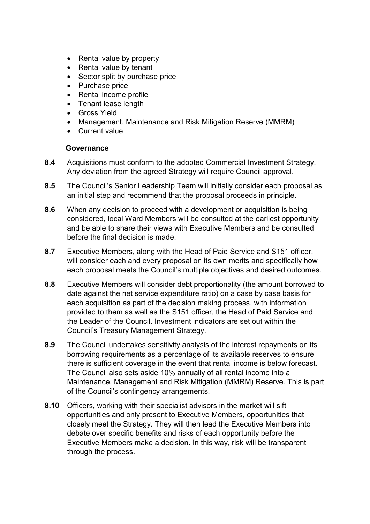- Rental value by property
- Rental value by tenant
- Sector split by purchase price
- Purchase price
- Rental income profile
- Tenant lease length
- Gross Yield
- Management, Maintenance and Risk Mitigation Reserve (MMRM)
- Current value

#### **Governance**

- **8.4** Acquisitions must conform to the adopted Commercial Investment Strategy. Any deviation from the agreed Strategy will require Council approval.
- **8.5** The Council's Senior Leadership Team will initially consider each proposal as an initial step and recommend that the proposal proceeds in principle.
- **8.6** When any decision to proceed with a development or acquisition is being considered, local Ward Members will be consulted at the earliest opportunity and be able to share their views with Executive Members and be consulted before the final decision is made.
- **8.7** Executive Members, along with the Head of Paid Service and S151 officer, will consider each and every proposal on its own merits and specifically how each proposal meets the Council's multiple objectives and desired outcomes.
- **8.8** Executive Members will consider debt proportionality (the amount borrowed to date against the net service expenditure ratio) on a case by case basis for each acquisition as part of the decision making process, with information provided to them as well as the S151 officer, the Head of Paid Service and the Leader of the Council. Investment indicators are set out within the Council's Treasury Management Strategy.
- **8.9** The Council undertakes sensitivity analysis of the interest repayments on its borrowing requirements as a percentage of its available reserves to ensure there is sufficient coverage in the event that rental income is below forecast. The Council also sets aside 10% annually of all rental income into a Maintenance, Management and Risk Mitigation (MMRM) Reserve. This is part of the Council's contingency arrangements.
- **8.10** Officers, working with their specialist advisors in the market will sift opportunities and only present to Executive Members, opportunities that closely meet the Strategy. They will then lead the Executive Members into debate over specific benefits and risks of each opportunity before the Executive Members make a decision. In this way, risk will be transparent through the process.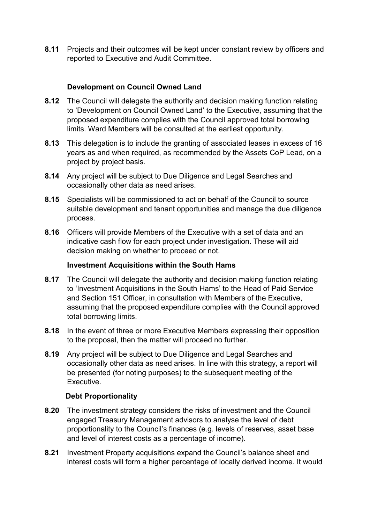**8.11** Projects and their outcomes will be kept under constant review by officers and reported to Executive and Audit Committee.

# **Development on Council Owned Land**

- **8.12** The Council will delegate the authority and decision making function relating to 'Development on Council Owned Land' to the Executive, assuming that the proposed expenditure complies with the Council approved total borrowing limits. Ward Members will be consulted at the earliest opportunity.
- **8.13** This delegation is to include the granting of associated leases in excess of 16 years as and when required, as recommended by the Assets CoP Lead, on a project by project basis.
- **8.14** Any project will be subject to Due Diligence and Legal Searches and occasionally other data as need arises.
- **8.15** Specialists will be commissioned to act on behalf of the Council to source suitable development and tenant opportunities and manage the due diligence process.
- **8.16** Officers will provide Members of the Executive with a set of data and an indicative cash flow for each project under investigation. These will aid decision making on whether to proceed or not.

#### **Investment Acquisitions within the South Hams**

- **8.17** The Council will delegate the authority and decision making function relating to 'Investment Acquisitions in the South Hams' to the Head of Paid Service and Section 151 Officer, in consultation with Members of the Executive, assuming that the proposed expenditure complies with the Council approved total borrowing limits.
- **8.18** In the event of three or more Executive Members expressing their opposition to the proposal, then the matter will proceed no further.
- **8.19** Any project will be subject to Due Diligence and Legal Searches and occasionally other data as need arises. In line with this strategy, a report will be presented (for noting purposes) to the subsequent meeting of the Executive.

#### **Debt Proportionality**

- **8.20** The investment strategy considers the risks of investment and the Council engaged Treasury Management advisors to analyse the level of debt proportionality to the Council's finances (e.g. levels of reserves, asset base and level of interest costs as a percentage of income).
- **8.21** Investment Property acquisitions expand the Council's balance sheet and interest costs will form a higher percentage of locally derived income. It would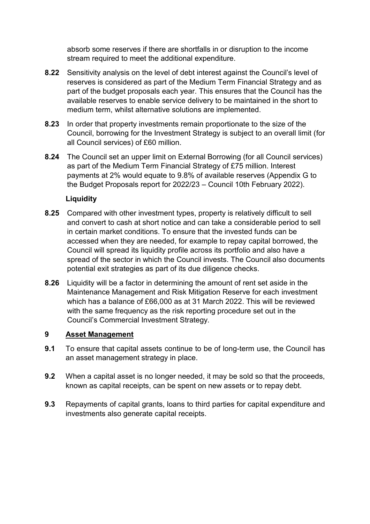absorb some reserves if there are shortfalls in or disruption to the income stream required to meet the additional expenditure.

- **8.22** Sensitivity analysis on the level of debt interest against the Council's level of reserves is considered as part of the Medium Term Financial Strategy and as part of the budget proposals each year. This ensures that the Council has the available reserves to enable service delivery to be maintained in the short to medium term, whilst alternative solutions are implemented.
- **8.23** In order that property investments remain proportionate to the size of the Council, borrowing for the Investment Strategy is subject to an overall limit (for all Council services) of £60 million.
- **8.24** The Council set an upper limit on External Borrowing (for all Council services) as part of the Medium Term Financial Strategy of £75 million. Interest payments at 2% would equate to 9.8% of available reserves (Appendix G to the Budget Proposals report for 2022/23 – Council 10th February 2022).

# **Liquidity**

- **8.25** Compared with other investment types, property is relatively difficult to sell and convert to cash at short notice and can take a considerable period to sell in certain market conditions. To ensure that the invested funds can be accessed when they are needed, for example to repay capital borrowed, the Council will spread its liquidity profile across its portfolio and also have a spread of the sector in which the Council invests. The Council also documents potential exit strategies as part of its due diligence checks.
- **8.26** Liquidity will be a factor in determining the amount of rent set aside in the Maintenance Management and Risk Mitigation Reserve for each investment which has a balance of £66,000 as at 31 March 2022. This will be reviewed with the same frequency as the risk reporting procedure set out in the Council's Commercial Investment Strategy.

# **9 Asset Management**

- **9.1** To ensure that capital assets continue to be of long-term use, the Council has an asset management strategy in place.
- **9.2** When a capital asset is no longer needed, it may be sold so that the proceeds, known as capital receipts, can be spent on new assets or to repay debt.
- **9.3** Repayments of capital grants, loans to third parties for capital expenditure and investments also generate capital receipts.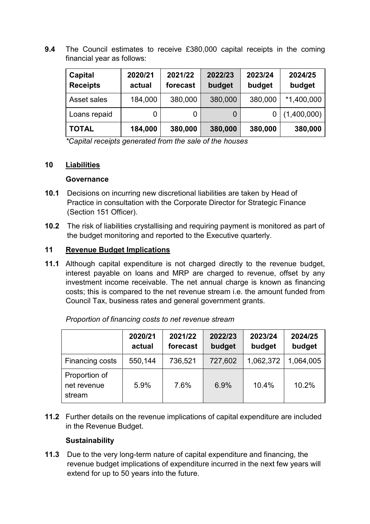**9.4** The Council estimates to receive £380,000 capital receipts in the coming financial year as follows:

| Capital<br><b>Receipts</b> | 2020/21<br>actual | 2021/22<br>forecast | 2022/23<br>budget | 2023/24<br>budget | 2024/25<br>budget |
|----------------------------|-------------------|---------------------|-------------------|-------------------|-------------------|
| Asset sales                | 184,000           | 380,000             | 380,000           | 380,000           | $*1,400,000$      |
| Loans repaid               |                   |                     | 0                 |                   | (1,400,000)       |
| <b>TOTAL</b>               | 184,000           | 380,000             | 380,000           | 380,000           | 380,000           |

*\*Capital receipts generated from the sale of the houses*

## **10 Liabilities**

#### **Governance**

- **10.1** Decisions on incurring new discretional liabilities are taken by Head of Practice in consultation with the Corporate Director for Strategic Finance (Section 151 Officer).
- **10.2** The risk of liabilities crystallising and requiring payment is monitored as part of the budget monitoring and reported to the Executive quarterly.

# **11 Revenue Budget Implications**

**11.1** Although capital expenditure is not charged directly to the revenue budget, interest payable on loans and MRP are charged to revenue, offset by any investment income receivable. The net annual charge is known as financing costs; this is compared to the net revenue stream i.e. the amount funded from Council Tax, business rates and general government grants.

|                                        | 2020/21<br>actual | 2021/22<br>forecast | 2022/23<br>budget | 2023/24<br>budget | 2024/25<br>budget |
|----------------------------------------|-------------------|---------------------|-------------------|-------------------|-------------------|
| Financing costs                        | 550,144           | 736,521             | 727,602           | 1,062,372         | 1,064,005         |
| Proportion of<br>net revenue<br>stream | 5.9%              | 7.6%                | 6.9%              | 10.4%             | 10.2%             |

*Proportion of financing costs to net revenue stream*

**11.2** Further details on the revenue implications of capital expenditure are included in the Revenue Budget.

#### **Sustainability**

**11.3** Due to the very long-term nature of capital expenditure and financing, the revenue budget implications of expenditure incurred in the next few years will extend for up to 50 years into the future.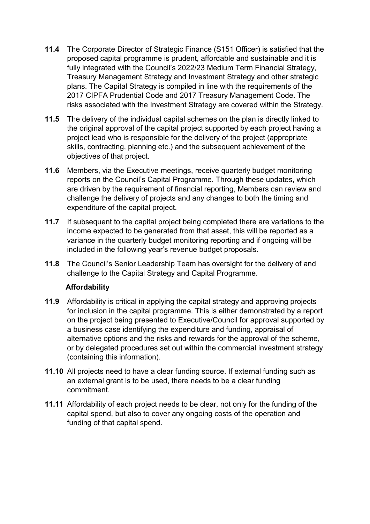- **11.4** The Corporate Director of Strategic Finance (S151 Officer) is satisfied that the proposed capital programme is prudent, affordable and sustainable and it is fully integrated with the Council's 2022/23 Medium Term Financial Strategy, Treasury Management Strategy and Investment Strategy and other strategic plans. The Capital Strategy is compiled in line with the requirements of the 2017 CIPFA Prudential Code and 2017 Treasury Management Code. The risks associated with the Investment Strategy are covered within the Strategy.
- **11.5** The delivery of the individual capital schemes on the plan is directly linked to the original approval of the capital project supported by each project having a project lead who is responsible for the delivery of the project (appropriate skills, contracting, planning etc.) and the subsequent achievement of the objectives of that project.
- **11.6** Members, via the Executive meetings, receive quarterly budget monitoring reports on the Council's Capital Programme. Through these updates, which are driven by the requirement of financial reporting, Members can review and challenge the delivery of projects and any changes to both the timing and expenditure of the capital project.
- **11.7** If subsequent to the capital project being completed there are variations to the income expected to be generated from that asset, this will be reported as a variance in the quarterly budget monitoring reporting and if ongoing will be included in the following year's revenue budget proposals.
- **11.8** The Council's Senior Leadership Team has oversight for the delivery of and challenge to the Capital Strategy and Capital Programme.

# **Affordability**

- **11.9** Affordability is critical in applying the capital strategy and approving projects for inclusion in the capital programme. This is either demonstrated by a report on the project being presented to Executive/Council for approval supported by a business case identifying the expenditure and funding, appraisal of alternative options and the risks and rewards for the approval of the scheme, or by delegated procedures set out within the commercial investment strategy (containing this information).
- **11.10** All projects need to have a clear funding source. If external funding such as an external grant is to be used, there needs to be a clear funding commitment.
- **11.11** Affordability of each project needs to be clear, not only for the funding of the capital spend, but also to cover any ongoing costs of the operation and funding of that capital spend.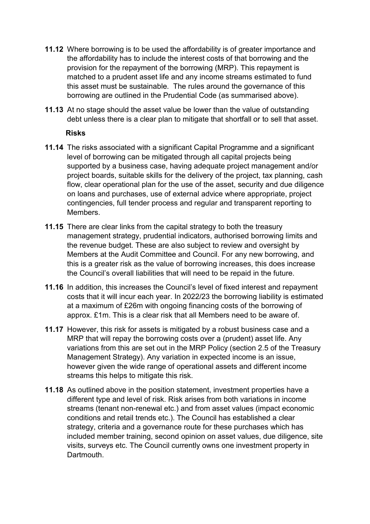- **11.12** Where borrowing is to be used the affordability is of greater importance and the affordability has to include the interest costs of that borrowing and the provision for the repayment of the borrowing (MRP). This repayment is matched to a prudent asset life and any income streams estimated to fund this asset must be sustainable. The rules around the governance of this borrowing are outlined in the Prudential Code (as summarised above).
- **11.13** At no stage should the asset value be lower than the value of outstanding debt unless there is a clear plan to mitigate that shortfall or to sell that asset.

#### **Risks**

- **11.14** The risks associated with a significant Capital Programme and a significant level of borrowing can be mitigated through all capital projects being supported by a business case, having adequate project management and/or project boards, suitable skills for the delivery of the project, tax planning, cash flow, clear operational plan for the use of the asset, security and due diligence on loans and purchases, use of external advice where appropriate, project contingencies, full tender process and regular and transparent reporting to Members.
- **11.15** There are clear links from the capital strategy to both the treasury management strategy, prudential indicators, authorised borrowing limits and the revenue budget. These are also subject to review and oversight by Members at the Audit Committee and Council. For any new borrowing, and this is a greater risk as the value of borrowing increases, this does increase the Council's overall liabilities that will need to be repaid in the future.
- **11.16** In addition, this increases the Council's level of fixed interest and repayment costs that it will incur each year. In 2022/23 the borrowing liability is estimated at a maximum of £26m with ongoing financing costs of the borrowing of approx. £1m. This is a clear risk that all Members need to be aware of.
- **11.17** However, this risk for assets is mitigated by a robust business case and a MRP that will repay the borrowing costs over a (prudent) asset life. Any variations from this are set out in the MRP Policy (section 2.5 of the Treasury Management Strategy). Any variation in expected income is an issue, however given the wide range of operational assets and different income streams this helps to mitigate this risk.
- **11.18** As outlined above in the position statement, investment properties have a different type and level of risk. Risk arises from both variations in income streams (tenant non-renewal etc.) and from asset values (impact economic conditions and retail trends etc.). The Council has established a clear strategy, criteria and a governance route for these purchases which has included member training, second opinion on asset values, due diligence, site visits, surveys etc. The Council currently owns one investment property in **Dartmouth**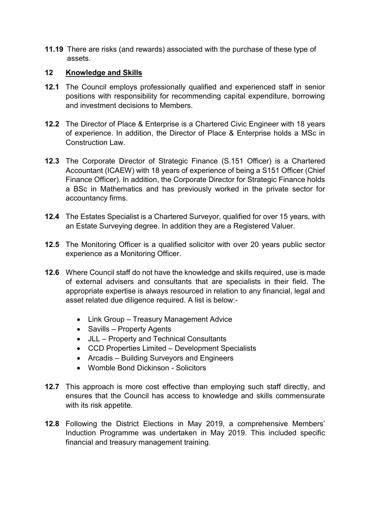**11.19** There are risks (and rewards) associated with the purchase of these type of assets.

## **12 Knowledge and Skills**

- **12.1** The Council employs professionally qualified and experienced staff in senior positions with responsibility for recommending capital expenditure, borrowing and investment decisions to Members.
- **12.2** The Director of Place & Enterprise is a Chartered Civic Engineer with 18 years of experience. In addition, the Director of Place & Enterprise holds a MSc in Construction Law.
- **12.3** The Corporate Director of Strategic Finance (S.151 Officer) is a Chartered Accountant (ICAEW) with 18 years of experience of being a S151 Officer (Chief Finance Officer). In addition, the Corporate Director for Strategic Finance holds a BSc in Mathematics and has previously worked in the private sector for accountancy firms.
- **12.4** The Estates Specialist is a Chartered Surveyor, qualified for over 15 years, with an Estate Surveying degree. In addition they are a Registered Valuer.
- **12.5** The Monitoring Officer is a qualified solicitor with over 20 years public sector experience as a Monitoring Officer.
- **12.6** Where Council staff do not have the knowledge and skills required, use is made of external advisers and consultants that are specialists in their field. The appropriate expertise is always resourced in relation to any financial, legal and asset related due diligence required. A list is below:-
	- Link Group Treasury Management Advice
	- Savills Property Agents
	- JLL Property and Technical Consultants
	- CCD Properties Limited Development Specialists
	- Arcadis Building Surveyors and Engineers
	- Womble Bond Dickinson Solicitors
- **12.7** This approach is more cost effective than employing such staff directly, and ensures that the Council has access to knowledge and skills commensurate with its risk appetite.
- **12.8** Following the District Elections in May 2019, a comprehensive Members' Induction Programme was undertaken in May 2019. This included specific financial and treasury management training.